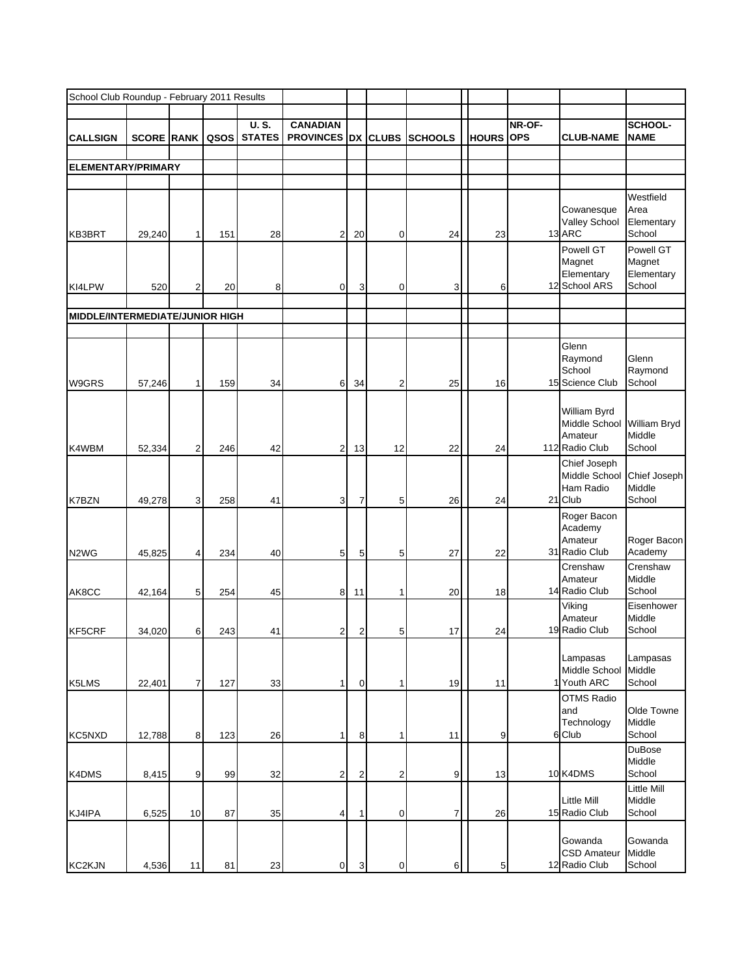|                                 | School Club Roundup - February 2011 Results |                |      |                              |                                        |                         |              |                |              |                      |                                                            |                                             |
|---------------------------------|---------------------------------------------|----------------|------|------------------------------|----------------------------------------|-------------------------|--------------|----------------|--------------|----------------------|------------------------------------------------------------|---------------------------------------------|
| <b>CALLSIGN</b>                 | <b>SCORE RANK</b>                           |                | QSOS | <b>U.S.</b><br><b>STATES</b> | <b>CANADIAN</b><br><b>PROVINCES</b> DX |                         | <b>CLUBS</b> | <b>SCHOOLS</b> | <b>HOURS</b> | NR-OF-<br><b>OPS</b> | <b>CLUB-NAME</b>                                           | <b>SCHOOL-</b><br><b>NAME</b>               |
|                                 |                                             |                |      |                              |                                        |                         |              |                |              |                      |                                                            |                                             |
| <b>ELEMENTARY/PRIMARY</b>       |                                             |                |      |                              |                                        |                         |              |                |              |                      |                                                            |                                             |
|                                 |                                             |                |      |                              |                                        |                         |              |                |              |                      |                                                            |                                             |
| KB3BRT                          | 29,240                                      | 1              | 151  | 28                           | $\overline{2}$                         | 20                      | 0            | 24             | 23           |                      | Cowanesque<br>Valley School<br>13 ARC                      | Westfield<br>Area<br>Elementary<br>School   |
| KI4LPW                          | 520                                         | $\overline{2}$ | 20   | 8                            | $\overline{0}$                         | 3                       | $\mathbf 0$  | 3              | 6            |                      | Powell GT<br>Magnet<br>Elementary<br>12 School ARS         | Powell GT<br>Magnet<br>Elementary<br>School |
|                                 |                                             |                |      |                              |                                        |                         |              |                |              |                      |                                                            |                                             |
| MIDDLE/INTERMEDIATE/JUNIOR HIGH |                                             |                |      |                              |                                        |                         |              |                |              |                      |                                                            |                                             |
| W9GRS                           | 57,246                                      | 1              | 159  | 34                           | 6                                      | 34                      | 2            | 25             | 16           |                      | Glenn<br>Raymond<br>School<br>15 Science Club              | Glenn<br>Raymond<br>School                  |
| K4WBM                           | 52,334                                      | $\overline{2}$ | 246  | 42                           | $\overline{2}$                         | 13                      | 12           | 22             | 24           |                      | William Byrd<br>Middle School<br>Amateur<br>112 Radio Club | William Bryd<br>Middle<br>School            |
| K7BZN                           | 49,278                                      | 3              | 258  | 41                           | 3                                      | 7                       | 5            | 26             | 24           |                      | Chief Joseph<br>Middle School<br>Ham Radio<br>21 Club      | Chief Joseph<br>Middle<br>School            |
| N <sub>2</sub> W <sub>G</sub>   | 45,825                                      |                | 234  | 40                           | 5                                      | 5                       | 5            | 27             | 22           |                      | Roger Bacon<br>Academy<br>Amateur<br>31 Radio Club         | Roger Bacon<br>Academy                      |
| AK8CC                           | 42,164                                      | 5              | 254  | 45                           | 8                                      | 11                      | 1            | 20             | 18           |                      | Crenshaw<br>Amateur<br>14 Radio Club                       | Crenshaw<br>Middle<br>School                |
| KF5CRF                          | 34,020                                      | 6              | 243  | 41                           | $\overline{c}$                         | $\overline{\mathbf{c}}$ | 5            | 17             | 24           |                      | Viking<br>Amateur<br>19 Radio Club                         | Eisenhower<br>Middle<br>School              |
| K5LMS                           | 22,401                                      | 7              | 127  | 33                           | 1                                      | 0                       | 1            | 19             | 11           |                      | Lampasas<br>Middle School<br>1 Youth ARC                   | Lampasas<br>Middle<br>School                |
| KC5NXD                          | 12,788                                      | 8              | 123  | 26                           | 1                                      | 8                       | 1            | 11             | 9            |                      | <b>OTMS Radio</b><br>and<br>Technology<br>6 Club           | Olde Towne<br>Middle<br>School              |
| K4DMS                           | 8,415                                       | 9              | 99   | 32                           | $\overline{a}$                         | $\overline{c}$          | 2            | 9              | 13           |                      | 10 K4DMS                                                   | <b>DuBose</b><br>Middle<br>School           |
| KJ4IPA                          | 6,525                                       | 10             | 87   | 35                           | $\overline{4}$                         | 1                       | 0            | 7              | 26           |                      | <b>Little Mill</b><br>15 Radio Club                        | Little Mill<br>Middle<br>School             |
| <b>KC2KJN</b>                   | 4,536                                       | 11             | 81   | 23                           | $\mathbf 0$                            | 3                       | 0            | 6              | 5            |                      | Gowanda<br><b>CSD Amateur</b><br>12 Radio Club             | Gowanda<br>Middle<br>School                 |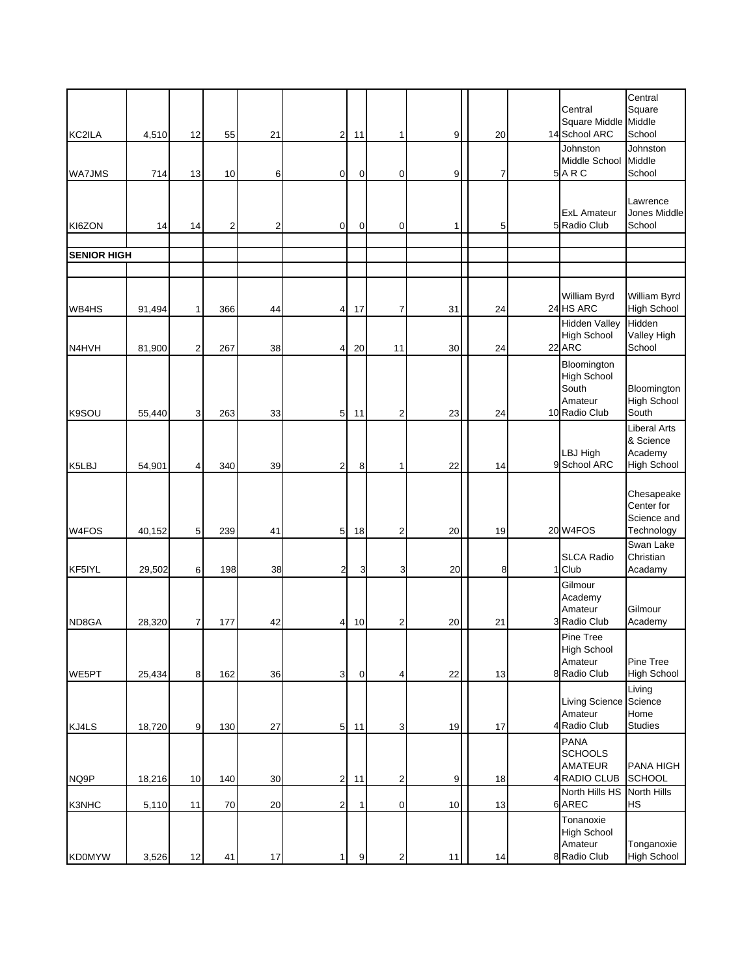|                    |        |    |     |    |                 |             |                         |      |    | Central                                                                | Central<br>Square                                          |
|--------------------|--------|----|-----|----|-----------------|-------------|-------------------------|------|----|------------------------------------------------------------------------|------------------------------------------------------------|
| KC2ILA             | 4,510  | 12 | 55  | 21 | 2               | 11          | 1                       | 9    | 20 | Square Middle<br>14 School ARC                                         | Middle<br>School                                           |
| <b>WA7JMS</b>      | 714    | 13 | 10  | 6  | $\overline{0}$  | $\mathbf 0$ | 0                       | 9    | 7  | Johnston<br>Middle School<br>5ARC                                      | Johnston<br>Middle<br>School                               |
| KI6ZON             | 14     | 14 | 2   | 2  | $\overline{0}$  | $\mathbf 0$ | 0                       | 1    | 5  | <b>ExL Amateur</b><br>5 Radio Club                                     | Lawrence<br>Jones Middle<br>School                         |
|                    |        |    |     |    |                 |             |                         |      |    |                                                                        |                                                            |
| <b>SENIOR HIGH</b> |        |    |     |    |                 |             |                         |      |    |                                                                        |                                                            |
| WB4HS              | 91,494 |    | 366 | 44 | $\overline{a}$  | 17          | 7                       | 31   | 24 | William Byrd<br>24 HS ARC                                              | William Byrd<br><b>High School</b>                         |
| N4HVH              | 81,900 | 2  | 267 | 38 | $\overline{4}$  | 20          | 11                      | 30   | 24 | <b>Hidden Valley</b><br>High School<br>22 ARC                          | Hidden<br>Valley High<br>School                            |
| K9SOU              | 55,440 | 3  | 263 | 33 | 5 <sub>5</sub>  | 11          | $\overline{2}$          | 23   | 24 | Bloomington<br><b>High School</b><br>South<br>Amateur<br>10 Radio Club | Bloomington<br><b>High School</b><br>South                 |
| K5LBJ              | 54,901 | 4  | 340 | 39 | $\overline{2}$  | 8           | 1                       | 22   | 14 | LBJ High<br>9 School ARC                                               | Liberal Arts<br>& Science<br>Academy<br><b>High School</b> |
| W4FOS              | 40,152 | 5  | 239 | 41 | $5\phantom{.0}$ | 18          | $\overline{2}$          | 20   | 19 | 20 W4FOS                                                               | Chesapeake<br>Center for<br>Science and<br>Technology      |
| KF5IYL             | 29,502 | 6  | 198 | 38 | $\overline{2}$  | 3           | 3                       | 20   | 8  | <b>SLCA Radio</b><br>1 Club                                            | Swan Lake<br>Christian<br>Acadamy                          |
| ND8GA              | 28,320 | 7  | 177 | 42 | $\overline{4}$  | 10          | $\overline{c}$          | 20   | 21 | Gilmour<br>Academy<br>Amateur<br>3 Radio Club                          | Gilmour<br>Academy                                         |
| WE5PT              | 25,434 | 8  | 162 | 36 | 3 <sup>1</sup>  | $\pmb{0}$   | 4                       | 22   | 13 | Pine Tree<br><b>High School</b><br>Amateur<br>8 Radio Club             | Pine Tree<br><b>High School</b>                            |
| KJ4LS              | 18,720 | 9  | 130 | 27 | 5               | 11          | 3                       | 19   | 17 | Living Science<br>Amateur<br>4 Radio Club                              | Living<br>Science<br>Home<br><b>Studies</b>                |
| NQ9P               | 18,216 | 10 | 140 | 30 | $2\vert$        | 11          | 2                       | 9    | 18 | <b>PANA</b><br><b>SCHOOLS</b><br>AMATEUR<br>4 RADIO CLUB               | PANA HIGH<br>SCHOOL                                        |
| K3NHC              | 5,110  | 11 | 70  | 20 | $\overline{c}$  | 1           | 0                       | $10$ | 13 | North Hills HS<br>6 AREC                                               | <b>North Hills</b><br>HS                                   |
| <b>KD0MYW</b>      | 3,526  | 12 | 41  | 17 | 1               | 9           | $\overline{\mathbf{c}}$ | 11   | 14 | Tonanoxie<br>High School<br>Amateur<br>8 Radio Club                    | Tonganoxie<br><b>High School</b>                           |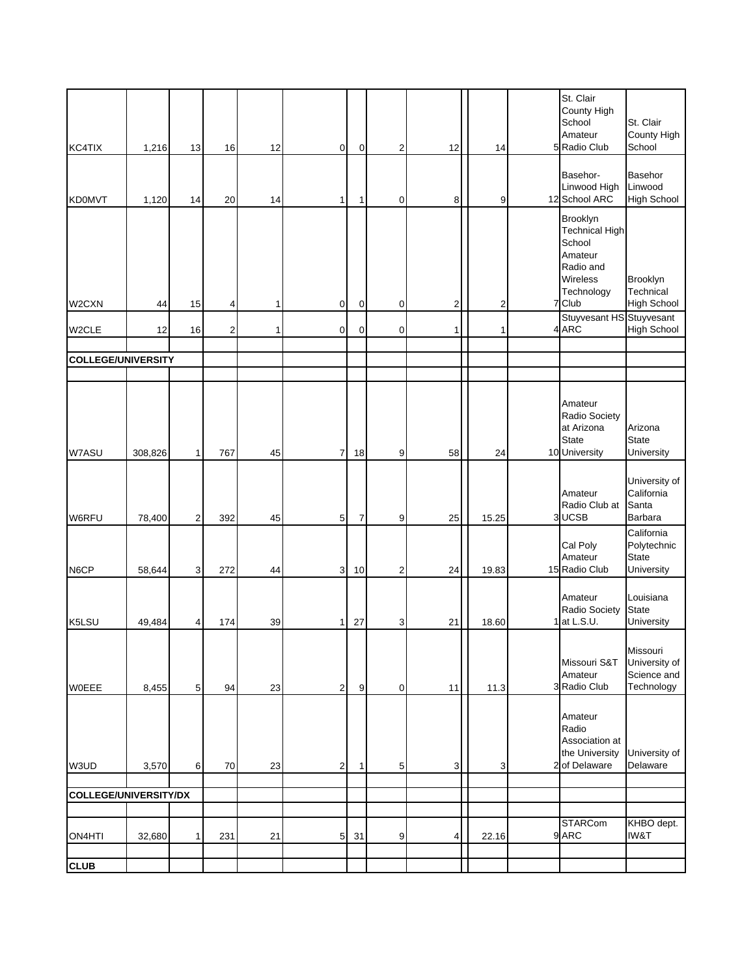| KC4TIX                       | 1,216   | 13             | 16             | 12 | $\mathbf 0$    | 0  | $\mathbf 2$ | 12             | 14             | St. Clair<br>County High<br>School<br>Amateur<br>5 Radio Club                                           | St. Clair<br>County High<br>School                      |
|------------------------------|---------|----------------|----------------|----|----------------|----|-------------|----------------|----------------|---------------------------------------------------------------------------------------------------------|---------------------------------------------------------|
| <b>KD0MVT</b>                | 1,120   | 14             | 20             | 14 | $\mathbf{1}$   | 1  | 0           | 8              | 9              | Basehor-<br>Linwood High<br>12 School ARC                                                               | Basehor<br>Linwood<br><b>High School</b>                |
| W2CXN                        | 44      | 15             | 4              | 1  | $\mathbf 0$    | 0  | 0           | $\overline{c}$ | $\overline{2}$ | Brooklyn<br><b>Technical High</b><br>School<br>Amateur<br>Radio and<br>Wireless<br>Technology<br>7 Club | Brooklyn<br>Technical<br><b>High School</b>             |
| W2CLE                        | 12      | 16             | $\overline{c}$ | 1  | $\mathbf 0$    | 0  | $\mathbf 0$ | 1              | 1              | Stuyvesant HS Stuyvesant<br>4 ARC                                                                       | <b>High School</b>                                      |
| <b>COLLEGE/UNIVERSITY</b>    |         |                |                |    |                |    |             |                |                |                                                                                                         |                                                         |
|                              |         |                |                |    |                |    |             |                |                |                                                                                                         |                                                         |
| W7ASU                        | 308,826 | 1              | 767            | 45 | $\overline{7}$ | 18 | 9           | 58             | 24             | Amateur<br>Radio Society<br>at Arizona<br><b>State</b><br>10 University                                 | Arizona<br><b>State</b><br>University                   |
| W6RFU                        | 78,400  | $\overline{2}$ | 392            | 45 | 5              | 7  | 9           | 25             | 15.25          | Amateur<br>Radio Club at<br>3 UCSB                                                                      | University of<br>California<br>Santa<br>Barbara         |
| N6CP                         | 58,644  | 3              | 272            | 44 | 3              | 10 | 2           | 24             | 19.83          | Cal Poly<br>Amateur<br>15 Radio Club                                                                    | California<br>Polytechnic<br><b>State</b><br>University |
| K5LSU                        | 49,484  | 4              | 174            | 39 | 1 <sup>1</sup> | 27 | 3           | 21             | 18.60          | Amateur<br>Radio Society<br>at L.S.U.                                                                   | Louisiana<br><b>State</b><br>University                 |
| WOEEE                        | 8,455   | 5              | 94             | 23 | $\overline{2}$ | 9  | 0           | 11             | 11.3           | Missouri S&T<br>Amateur<br>3 Radio Club                                                                 | Missouri<br>University of<br>Science and<br>Technology  |
| W3UD                         | 3,570   | 6              | 70             | 23 | $\mathbf{2}$   | 1  | 5           | 3              | 3              | Amateur<br>Radio<br>Association at<br>the University<br>2 of Delaware                                   | University of<br>Delaware                               |
| <b>COLLEGE/UNIVERSITY/DX</b> |         |                |                |    |                |    |             |                |                |                                                                                                         |                                                         |
|                              |         |                |                |    |                |    |             |                |                |                                                                                                         |                                                         |
| ON4HTI                       | 32,680  | 1              | 231            | 21 | $\overline{5}$ | 31 | 9           | 4              | 22.16          | STARCom<br>9 ARC                                                                                        | KHBO dept.<br>IW&T                                      |
| <b>CLUB</b>                  |         |                |                |    |                |    |             |                |                |                                                                                                         |                                                         |